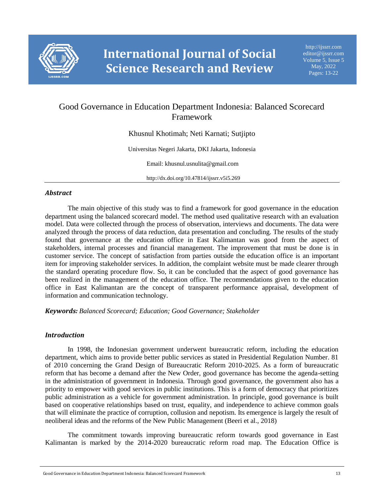

# Good Governance in Education Department Indonesia: Balanced Scorecard Framework

Khusnul Khotimah; Neti Karnati; Sutjipto

Universitas Negeri Jakarta, DKI Jakarta, Indonesia

Email: khusnul.usnulita@gmail.com

http://dx.doi.org/10.47814/ijssrr.v5i5.269

### *Abstract*

The main objective of this study was to find a framework for good governance in the education department using the balanced scorecard model. The method used qualitative research with an evaluation model. Data were collected through the process of observation, interviews and documents. The data were analyzed through the process of data reduction, data presentation and concluding. The results of the study found that governance at the education office in East Kalimantan was good from the aspect of stakeholders, internal processes and financial management. The improvement that must be done is in customer service. The concept of satisfaction from parties outside the education office is an important item for improving stakeholder services. In addition, the complaint website must be made clearer through the standard operating procedure flow. So, it can be concluded that the aspect of good governance has been realized in the management of the education office. The recommendations given to the education office in East Kalimantan are the concept of transparent performance appraisal, development of information and communication technology.

*Keywords: Balanced Scorecard; Education; Good Governance; Stakeholder*

#### *Introduction*

In 1998, the Indonesian government underwent bureaucratic reform, including the education department, which aims to provide better public services as stated in Presidential Regulation Number. 81 of 2010 concerning the Grand Design of Bureaucratic Reform 2010-2025. As a form of bureaucratic reform that has become a demand after the New Order, good governance has become the agenda-setting in the administration of government in Indonesia. Through good governance, the government also has a priority to empower with good services in public institutions. This is a form of democracy that prioritizes public administration as a vehicle for government administration. In principle, good governance is built based on cooperative relationships based on trust, equality, and independence to achieve common goals that will eliminate the practice of corruption, collusion and nepotism. Its emergence is largely the result of neoliberal ideas and the reforms of the New Public Management (Beeri et al., 2018)

The commitment towards improving bureaucratic reform towards good governance in East Kalimantan is marked by the 2014-2020 bureaucratic reform road map. The Education Office is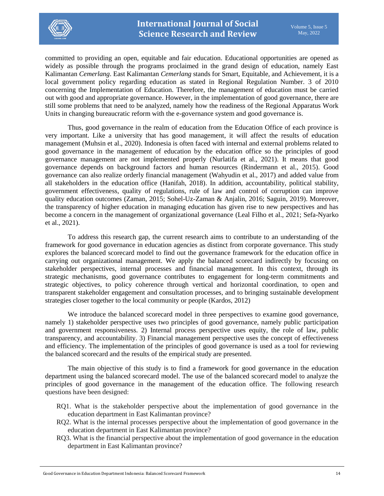

committed to providing an open, equitable and fair education. Educational opportunities are opened as widely as possible through the programs proclaimed in the grand design of education, namely East Kalimantan *Cemerlang*. East Kalimantan *Cemerlang* stands for Smart, Equitable, and Achievement, it is a local government policy regarding education as stated in Regional Regulation Number. 3 of 2010 concerning the Implementation of Education. Therefore, the management of education must be carried out with good and appropriate governance. However, in the implementation of good governance, there are still some problems that need to be analyzed, namely how the readiness of the Regional Apparatus Work Units in changing bureaucratic reform with the e-governance system and good governance is.

Thus, good governance in the realm of education from the Education Office of each province is very important. Like a university that has good management, it will affect the results of education management (Muhsin et al., 2020). Indonesia is often faced with internal and external problems related to good governance in the management of education by the education office so the principles of good governance management are not implemented properly (Nurlatifa et al., 2021). It means that good governance depends on background factors and human resources (Rindermann et al., 2015). Good governance can also realize orderly financial management (Wahyudin et al., 2017) and added value from all stakeholders in the education office (Hanifah, 2018). In addition, accountability, political stability, government effectiveness, quality of regulations, rule of law and control of corruption can improve quality education outcomes (Zaman, 2015; Sohel-Uz-Zaman & Anjalin, 2016; Saguin, 2019). Moreover, the transparency of higher education in managing education has given rise to new perspectives and has become a concern in the management of organizational governance (Leal Filho et al., 2021; Sefa-Nyarko et al., 2021).

To address this research gap, the current research aims to contribute to an understanding of the framework for good governance in education agencies as distinct from corporate governance. This study explores the balanced scorecard model to find out the governance framework for the education office in carrying out organizational management. We apply the balanced scorecard indirectly by focusing on stakeholder perspectives, internal processes and financial management. In this context, through its strategic mechanisms, good governance contributes to engagement for long-term commitments and strategic objectives, to policy coherence through vertical and horizontal coordination, to open and transparent stakeholder engagement and consultation processes, and to bringing sustainable development strategies closer together to the local community or people (Kardos, 2012)

We introduce the balanced scorecard model in three perspectives to examine good governance, namely 1) stakeholder perspective uses two principles of good governance, namely public participation and government responsiveness. 2) Internal process perspective uses equity, the role of law, public transparency, and accountability. 3) Financial management perspective uses the concept of effectiveness and efficiency. The implementation of the principles of good governance is used as a tool for reviewing the balanced scorecard and the results of the empirical study are presented.

The main objective of this study is to find a framework for good governance in the education department using the balanced scorecard model. The use of the balanced scorecard model to analyze the principles of good governance in the management of the education office. The following research questions have been designed:

- RQ1. What is the stakeholder perspective about the implementation of good governance in the education department in East Kalimantan province?
- RQ2. What is the internal processes perspective about the implementation of good governance in the education department in East Kalimantan province?
- RQ3. What is the financial perspective about the implementation of good governance in the education department in East Kalimantan province?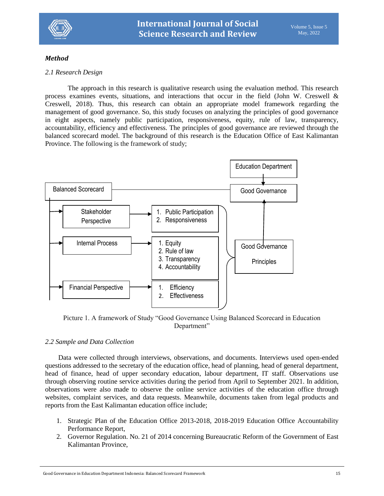

## *Method*

#### *2.1 Research Design*

The approach in this research is qualitative research using the evaluation method. This research process examines events, situations, and interactions that occur in the field (John W. Creswell & Creswell, 2018). Thus, this research can obtain an appropriate model framework regarding the management of good governance. So, this study focuses on analyzing the principles of good governance in eight aspects, namely public participation, responsiveness, equity, rule of law, transparency, accountability, efficiency and effectiveness. The principles of good governance are reviewed through the balanced scorecard model. The background of this research is the Education Office of East Kalimantan Province. The following is the framework of study;



Picture 1. A framework of Study "Good Governance Using Balanced Scorecard in Education Department"

#### *2.2 Sample and Data Collection*

Data were collected through interviews, observations, and documents. Interviews used open-ended questions addressed to the secretary of the education office, head of planning, head of general department, head of finance, head of upper secondary education, labour department, IT staff. Observations use through observing routine service activities during the period from April to September 2021. In addition, observations were also made to observe the online service activities of the education office through websites, complaint services, and data requests. Meanwhile, documents taken from legal products and reports from the East Kalimantan education office include;

- 1. Strategic Plan of the Education Office 2013-2018, 2018-2019 Education Office Accountability Performance Report,
- 2. Governor Regulation. No. 21 of 2014 concerning Bureaucratic Reform of the Government of East Kalimantan Province,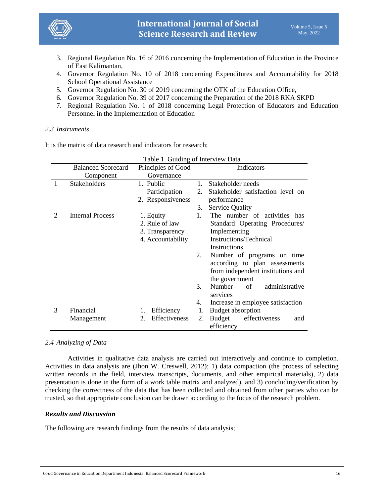

- 3. Regional Regulation No. 16 of 2016 concerning the Implementation of Education in the Province of East Kalimantan,
- 4. Governor Regulation No. 10 of 2018 concerning Expenditures and Accountability for 2018 School Operational Assistance
- 5. Governor Regulation No. 30 of 2019 concerning the OTK of the Education Office,
- 6. Governor Regulation No. 39 of 2017 concerning the Preparation of the 2018 RKA SKPD
- 7. Regional Regulation No. 1 of 2018 concerning Legal Protection of Educators and Education Personnel in the Implementation of Education

#### *2.3 Instruments*

It is the matrix of data research and indicators for research;

|   |                           | Table 1. Guiding of Interview Data |    |                                              |  |  |
|---|---------------------------|------------------------------------|----|----------------------------------------------|--|--|
|   | <b>Balanced Scorecard</b> | Principles of Good                 |    | Indicators                                   |  |  |
|   | Component                 | Governance                         |    |                                              |  |  |
| 1 | <b>Stakeholders</b>       | 1. Public                          | 1. | Stakeholder needs                            |  |  |
|   |                           | Participation                      | 2. | Stakeholder satisfaction level on            |  |  |
|   |                           | 2. Responsiveness                  |    | performance                                  |  |  |
|   |                           |                                    | 3. | <b>Service Quality</b>                       |  |  |
| 2 | Internal Process          | 1. Equity                          | 1. | The number of activities has                 |  |  |
|   |                           | 2. Rule of law                     |    | Standard Operating Procedures/               |  |  |
|   |                           | 3. Transparency                    |    | Implementing                                 |  |  |
|   |                           | 4. Accountability                  |    | Instructions/Technical                       |  |  |
|   |                           |                                    |    | Instructions                                 |  |  |
|   |                           |                                    | 2. | Number of programs on time                   |  |  |
|   |                           |                                    |    | according to plan assessments                |  |  |
|   |                           |                                    |    | from independent institutions and            |  |  |
|   |                           |                                    |    | the government                               |  |  |
|   |                           |                                    | 3. | Number<br>administrative<br>of<br>services   |  |  |
|   |                           |                                    | 4. | Increase in employee satisfaction            |  |  |
| 3 | Financial                 | Efficiency<br>1.                   | 1. | Budget absorption                            |  |  |
|   | Management                | Effectiveness<br>2.                | 2. | Budget<br>effectiveness<br>and<br>efficiency |  |  |

*2.4 Analyzing of Data*

Activities in qualitative data analysis are carried out interactively and continue to completion. Activities in data analysis are (Jhon W. Creswell, 2012); 1) data compaction (the process of selecting written records in the field, interview transcripts, documents, and other empirical materials), 2) data presentation is done in the form of a work table matrix and analyzed), and 3) concluding/verification by checking the correctness of the data that has been collected and obtained from other parties who can be trusted, so that appropriate conclusion can be drawn according to the focus of the research problem.

#### *Results and Discussion*

The following are research findings from the results of data analysis;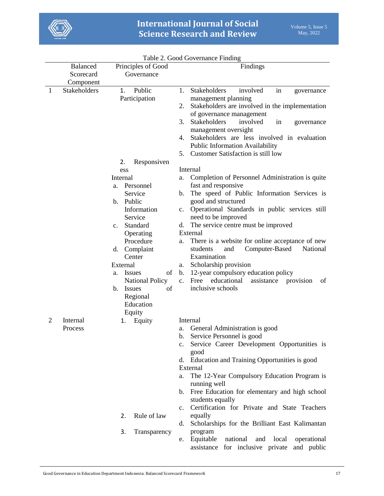

|    | <b>Balanced</b> | Principles of Good                            | Findings                                                                                                            |
|----|-----------------|-----------------------------------------------|---------------------------------------------------------------------------------------------------------------------|
|    | Scorecard       | Governance                                    |                                                                                                                     |
|    | Component       |                                               |                                                                                                                     |
| -1 | Stakeholders    | Public<br>1.                                  | Stakeholders<br>involved<br>1.<br>in<br>governance                                                                  |
|    |                 | Participation                                 | management planning                                                                                                 |
|    |                 |                                               | Stakeholders are involved in the implementation<br>2.                                                               |
|    |                 |                                               | of governance management                                                                                            |
|    |                 |                                               | Stakeholders<br>involved<br>3.<br>in<br>governance                                                                  |
|    |                 |                                               | management oversight<br>Stakeholders are less involved in evaluation<br>4.                                          |
|    |                 |                                               | Public Information Availability                                                                                     |
|    |                 |                                               | Customer Satisfaction is still low<br>5.                                                                            |
|    |                 | 2.<br>Responsiven                             |                                                                                                                     |
|    |                 | ess                                           | Internal                                                                                                            |
|    |                 | Internal                                      | Completion of Personnel Administration is quite<br>a.                                                               |
|    |                 | Personnel<br>a.                               | fast and responsive                                                                                                 |
|    |                 | Service                                       | The speed of Public Information Services is<br>b.                                                                   |
|    |                 | Public<br>$\mathbf{b}$ .                      | good and structured                                                                                                 |
|    |                 | Information                                   | Operational Standards in public services still<br>$\mathbf{c}$ .                                                    |
|    |                 | Service                                       | need to be improved                                                                                                 |
|    |                 | Standard<br>$\mathbf{c}$ .                    | The service centre must be improved<br>d.                                                                           |
|    |                 | Operating                                     | External                                                                                                            |
|    |                 | Procedure                                     | There is a website for online acceptance of new<br>a.                                                               |
|    |                 | d. Complaint<br>Center                        | Computer-Based<br>National<br>students<br>and<br>Examination                                                        |
|    |                 |                                               |                                                                                                                     |
|    |                 | External<br>of                                | Scholarship provision<br>a.                                                                                         |
|    |                 | <b>Issues</b><br>a.<br><b>National Policy</b> | 12-year compulsory education policy<br>b.<br>educational<br>Free<br>assistance<br>provision<br>$\mathbf{c}$ .<br>of |
|    |                 | b.<br><b>Issues</b><br>of                     | inclusive schools                                                                                                   |
|    |                 | Regional                                      |                                                                                                                     |
|    |                 | Education                                     |                                                                                                                     |
|    |                 | Equity                                        |                                                                                                                     |
| 2  | Internal        | Equity<br>1.                                  | Internal                                                                                                            |
|    | Process         |                                               | General Administration is good<br>a.                                                                                |
|    |                 |                                               | Service Personnel is good<br>b.                                                                                     |
|    |                 |                                               | Service Career Development Opportunities is                                                                         |
|    |                 |                                               | good                                                                                                                |
|    |                 |                                               | d. Education and Training Opportunities is good                                                                     |
|    |                 |                                               | External                                                                                                            |
|    |                 |                                               | The 12-Year Compulsory Education Program is<br>a.                                                                   |
|    |                 |                                               | running well<br>Free Education for elementary and high school<br>$\mathbf{b}$ .                                     |
|    |                 |                                               | students equally                                                                                                    |
|    |                 |                                               | Certification for Private and State Teachers<br>$\mathbf{c}$ .                                                      |
|    |                 | Rule of law<br>2.                             | equally                                                                                                             |
|    |                 |                                               | Scholarships for the Brilliant East Kalimantan<br>d.                                                                |
|    |                 | 3.<br>Transparency                            | program                                                                                                             |
|    |                 |                                               | Equitable<br>national<br>local<br>operational<br>and<br>e.<br>assistance for inclusive private<br>and public        |
|    |                 |                                               |                                                                                                                     |

Table 2. Good Governance Finding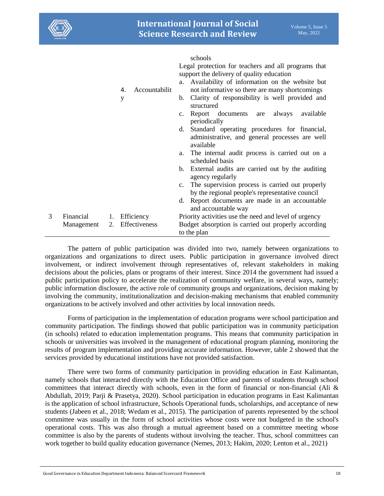

schools

|   |            |    |                     | Legal protection for teachers and all programs that                                                               |
|---|------------|----|---------------------|-------------------------------------------------------------------------------------------------------------------|
|   |            |    |                     | support the delivery of quality education                                                                         |
|   |            |    |                     |                                                                                                                   |
|   |            |    |                     | Availability of information on the website but<br>a.                                                              |
|   |            |    | Accountabilit<br>4. | not informative so there are many shortcomings                                                                    |
|   |            |    | y                   | Clarity of responsibility is well provided and<br>$b_{1}$<br>structured                                           |
|   |            |    |                     | Report documents are always<br>available<br>$\mathbf{c}$ .<br>periodically                                        |
|   |            |    |                     | Standard operating procedures for financial,<br>d.<br>administrative, and general processes are well<br>available |
|   |            |    |                     | The internal audit process is carried out on a<br>a.<br>scheduled basis                                           |
|   |            |    |                     | External audits are carried out by the auditing<br>b.<br>agency regularly                                         |
|   |            |    |                     | The supervision process is carried out properly<br>$\mathbf{c}$ .                                                 |
|   |            |    |                     | by the regional people's representative council                                                                   |
|   |            |    |                     | d. Report documents are made in an accountable<br>and accountable way                                             |
| 3 | Financial  | 1. | Efficiency          | Priority activities use the need and level of urgency                                                             |
|   | Management | 2. | Effectiveness       | Budget absorption is carried out properly according                                                               |
|   |            |    |                     | to the plan                                                                                                       |
|   |            |    |                     |                                                                                                                   |

The pattern of public participation was divided into two, namely between organizations to organizations and organizations to direct users. Public participation in governance involved direct involvement, or indirect involvement through representatives of, relevant stakeholders in making decisions about the policies, plans or programs of their interest. Since 2014 the government had issued a public participation policy to accelerate the realization of community welfare, in several ways, namely; public information disclosure, the active role of community groups and organizations, decision making by involving the community, institutionalization and decision-making mechanisms that enabled community organizations to be actively involved and other activities by local innovation needs.

Forms of participation in the implementation of education programs were school participation and community participation. The findings showed that public participation was in community participation (in schools) related to education implementation programs. This means that community participation in schools or universities was involved in the management of educational program planning, monitoring the results of program implementation and providing accurate information. However, table 2 showed that the services provided by educational institutions have not provided satisfaction.

There were two forms of community participation in providing education in East Kalimantan, namely schools that interacted directly with the Education Office and parents of students through school committees that interact directly with schools, even in the form of financial or non-financial (Ali & Abdullah, 2019; Parji & Prasetya, 2020). School participation in education programs in East Kalimantan is the application of school infrastructure, Schools Operational funds, scholarships, and acceptance of new students (Jabeen et al., 2018; Wedam et al., 2015). The participation of parents represented by the school committee was usually in the form of school activities whose costs were not budgeted in the school's operational costs. This was also through a mutual agreement based on a committee meeting whose committee is also by the parents of students without involving the teacher. Thus, school committees can work together to build quality education governance (Nemes, 2013; Hakim, 2020; Lenton et al., 2021)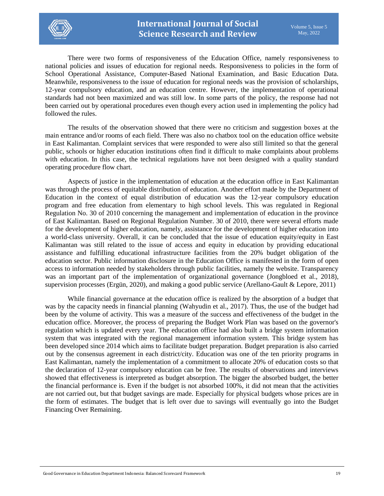

There were two forms of responsiveness of the Education Office, namely responsiveness to national policies and issues of education for regional needs. Responsiveness to policies in the form of School Operational Assistance, Computer-Based National Examination, and Basic Education Data. Meanwhile, responsiveness to the issue of education for regional needs was the provision of scholarships, 12-year compulsory education, and an education centre. However, the implementation of operational standards had not been maximized and was still low. In some parts of the policy, the response had not been carried out by operational procedures even though every action used in implementing the policy had followed the rules.

The results of the observation showed that there were no criticism and suggestion boxes at the main entrance and/or rooms of each field. There was also no chatbox tool on the education office website in East Kalimantan. Complaint services that were responded to were also still limited so that the general public, schools or higher education institutions often find it difficult to make complaints about problems with education. In this case, the technical regulations have not been designed with a quality standard operating procedure flow chart.

Aspects of justice in the implementation of education at the education office in East Kalimantan was through the process of equitable distribution of education. Another effort made by the Department of Education in the context of equal distribution of education was the 12-year compulsory education program and free education from elementary to high school levels. This was regulated in Regional Regulation No. 30 of 2010 concerning the management and implementation of education in the province of East Kalimantan. Based on Regional Regulation Number. 30 of 2010, there were several efforts made for the development of higher education, namely, assistance for the development of higher education into a world-class university. Overall, it can be concluded that the issue of education equity/equity in East Kalimantan was still related to the issue of access and equity in education by providing educational assistance and fulfilling educational infrastructure facilities from the 20% budget obligation of the education sector. Public information disclosure in the Education Office is manifested in the form of open access to information needed by stakeholders through public facilities, namely the website. Transparency was an important part of the implementation of organizational governance (Jongbloed et al., 2018), supervision processes (Ergün, 2020), and making a good public service (Arellano-Gault & Lepore, 2011)

While financial governance at the education office is realized by the absorption of a budget that was by the capacity needs in financial planning (Wahyudin et al., 2017). Thus, the use of the budget had been by the volume of activity. This was a measure of the success and effectiveness of the budget in the education office. Moreover, the process of preparing the Budget Work Plan was based on the governor's regulation which is updated every year. The education office had also built a bridge system information system that was integrated with the regional management information system. This bridge system has been developed since 2014 which aims to facilitate budget preparation. Budget preparation is also carried out by the consensus agreement in each district/city. Education was one of the ten priority programs in East Kalimantan, namely the implementation of a commitment to allocate 20% of education costs so that the declaration of 12-year compulsory education can be free. The results of observations and interviews showed that effectiveness is interpreted as budget absorption. The bigger the absorbed budget, the better the financial performance is. Even if the budget is not absorbed 100%, it did not mean that the activities are not carried out, but that budget savings are made. Especially for physical budgets whose prices are in the form of estimates. The budget that is left over due to savings will eventually go into the Budget Financing Over Remaining.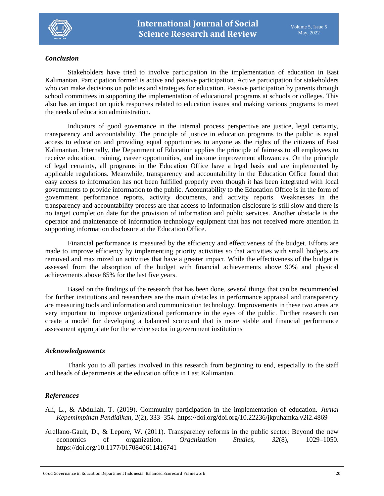

#### *Conclusion*

Stakeholders have tried to involve participation in the implementation of education in East Kalimantan. Participation formed is active and passive participation. Active participation for stakeholders who can make decisions on policies and strategies for education. Passive participation by parents through school committees in supporting the implementation of educational programs at schools or colleges. This also has an impact on quick responses related to education issues and making various programs to meet the needs of education administration.

Indicators of good governance in the internal process perspective are justice, legal certainty, transparency and accountability. The principle of justice in education programs to the public is equal access to education and providing equal opportunities to anyone as the rights of the citizens of East Kalimantan. Internally, the Department of Education applies the principle of fairness to all employees to receive education, training, career opportunities, and income improvement allowances. On the principle of legal certainty, all programs in the Education Office have a legal basis and are implemented by applicable regulations. Meanwhile, transparency and accountability in the Education Office found that easy access to information has not been fulfilled properly even though it has been integrated with local governments to provide information to the public. Accountability to the Education Office is in the form of government performance reports, activity documents, and activity reports. Weaknesses in the transparency and accountability process are that access to information disclosure is still slow and there is no target completion date for the provision of information and public services. Another obstacle is the operator and maintenance of information technology equipment that has not received more attention in supporting information disclosure at the Education Office.

Financial performance is measured by the efficiency and effectiveness of the budget. Efforts are made to improve efficiency by implementing priority activities so that activities with small budgets are removed and maximized on activities that have a greater impact. While the effectiveness of the budget is assessed from the absorption of the budget with financial achievements above 90% and physical achievements above 85% for the last five years.

Based on the findings of the research that has been done, several things that can be recommended for further institutions and researchers are the main obstacles in performance appraisal and transparency are measuring tools and information and communication technology. Improvements in these two areas are very important to improve organizational performance in the eyes of the public. Further research can create a model for developing a balanced scorecard that is more stable and financial performance assessment appropriate for the service sector in government institutions

# *Acknowledgements*

Thank you to all parties involved in this research from beginning to end, especially to the staff and heads of departments at the education office in East Kalimantan.

# *References*

- Ali, L., & Abdullah, T. (2019). Community participation in the implementation of education. *Jurnal Kepemimpinan Pendidikan*, *2*(2), 333–354. https://doi.org/doi.org/10.22236/jkpuhamka.v2i2.4869
- Arellano-Gault, D., & Lepore, W. (2011). Transparency reforms in the public sector: Beyond the new economics of organization. *Organization Studies*, *32*(8), 1029–1050. https://doi.org/10.1177/0170840611416741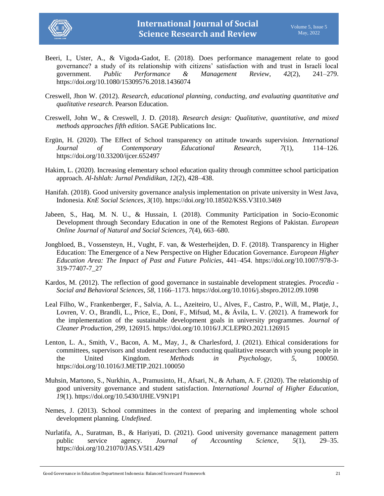

- Beeri, I., Uster, A., & Vigoda-Gadot, E. (2018). Does performance management relate to good governance? a study of its relationship with citizens' satisfaction with and trust in Israeli local government. *Public Performance & Management Review*, *42*(2), 241–279. https://doi.org/10.1080/15309576.2018.1436074
- Creswell, Jhon W. (2012). *Research, educational planning, conducting, and evaluating quantitative and qualitative research*. Pearson Education.
- Creswell, John W., & Creswell, J. D. (2018). *Research design: Qualitative, quantitative, and mixed methods approaches fifth edition*. SAGE Publications Inc.
- Ergün, H. (2020). The Effect of School transparency on attitude towards supervision. *International Journal of Contemporary Educational Research*, *7*(1), 114–126. https://doi.org/10.33200/ijcer.652497
- Hakim, L. (2020). Increasing elementary school education quality through committee school participation approach. *Al-Ishlah: Jurnal Pendidikan*, *12*(2), 428–438.
- Hanifah. (2018). Good university governance analysis implementation on private university in West Java, Indonesia. *KnE Social Sciences*, *3*(10). https://doi.org/10.18502/KSS.V3I10.3469
- Jabeen, S., Haq, M. N. U., & Hussain, I. (2018). Community Participation in Socio-Economic Development through Secondary Education in one of the Remotest Regions of Pakistan. *European Online Journal of Natural and Social Sciences*, *7*(4), 663–680.
- Jongbloed, B., Vossensteyn, H., Vught, F. van, & Westerheijden, D. F. (2018). Transparency in Higher Education: The Emergence of a New Perspective on Higher Education Governance. *European Higher Education Area: The Impact of Past and Future Policies*, 441–454. https://doi.org/10.1007/978-3- 319-77407-7\_27
- Kardos, M. (2012). The reflection of good governance in sustainable development strategies. *Procedia - Social and Behavioral Sciences*, *58*, 1166–1173. https://doi.org/10.1016/j.sbspro.2012.09.1098
- Leal Filho, W., Frankenberger, F., Salvia, A. L., Azeiteiro, U., Alves, F., Castro, P., Will, M., Platje, J., Lovren, V. O., Brandli, L., Price, E., Doni, F., Mifsud, M., & Ávila, L. V. (2021). A framework for the implementation of the sustainable development goals in university programmes. *Journal of Cleaner Production*, *299*, 126915. https://doi.org/10.1016/J.JCLEPRO.2021.126915
- Lenton, L. A., Smith, V., Bacon, A. M., May, J., & Charlesford, J. (2021). Ethical considerations for committees, supervisors and student researchers conducting qualitative research with young people in the United Kingdom. *Methods in Psychology*, *5*, 100050. https://doi.org/10.1016/J.METIP.2021.100050
- Muhsin, Martono, S., Nurkhin, A., Pramusinto, H., Afsari, N., & Arham, A. F. (2020). The relationship of good university governance and student satisfaction. *International Journal of Higher Education*, *19*(1). https://doi.org/10.5430/IJHE.V9N1P1
- Nemes, J. (2013). School committees in the context of preparing and implementing whole school development planning. *Undefined*.
- Nurlatifa, A., Suratman, B., & Hariyati, D. (2021). Good university governance management pattern public service agency. *Journal of Accounting Science*, *5*(1), 29–35. https://doi.org/10.21070/JAS.V5I1.429